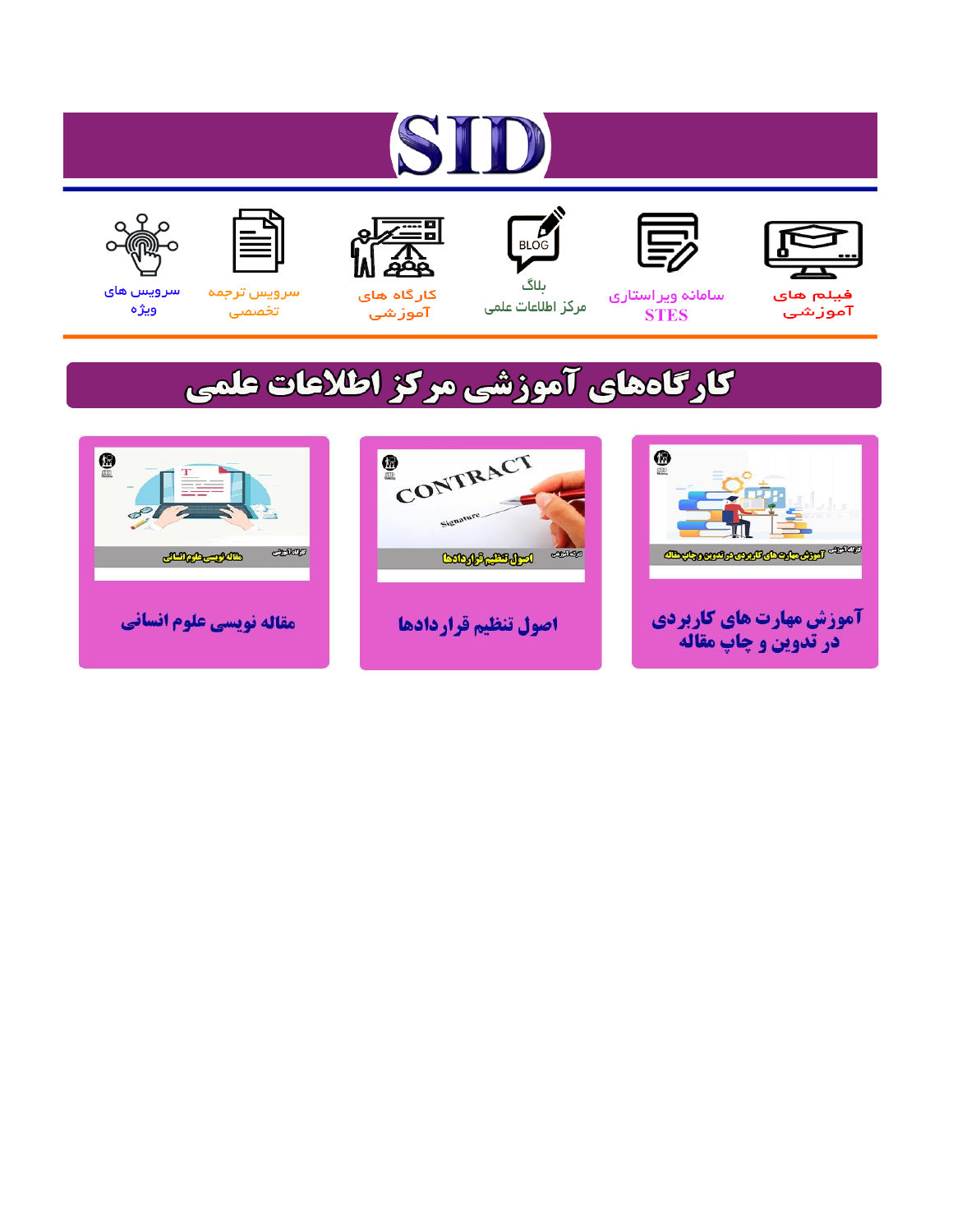# ST











مرکز اطلاعات علمی

 $\frac{1}{\sqrt{\frac{1}{100}}}$ ىلاگ



آموزشي

空

سرويس ترجمه تخصصى



سرویس های ويژه

## كارگاههای آموزشی مركز اطلاعات علمی





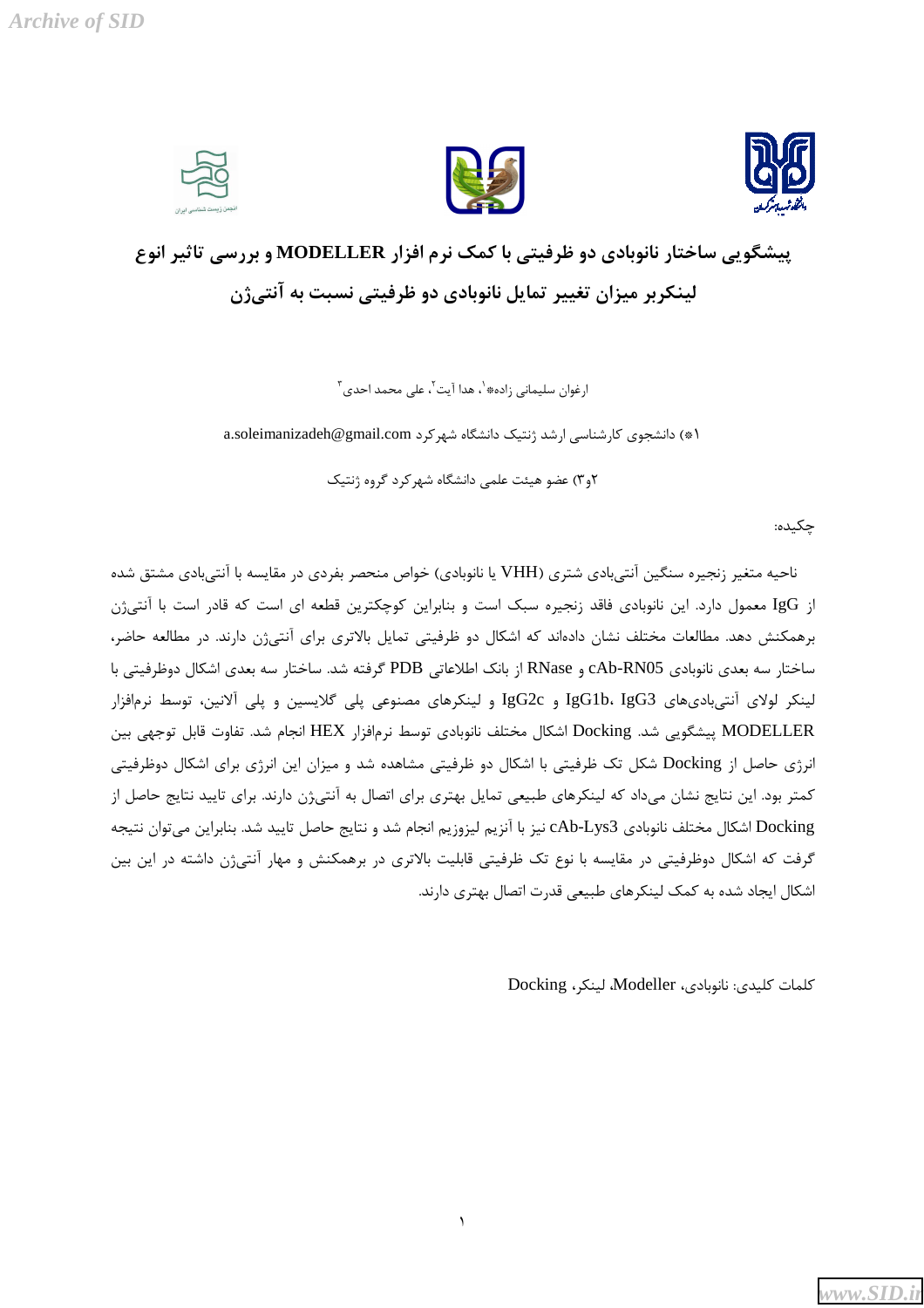**Archive of SID** 





### پیشگویی ساختار نانوبادی دو ظرفیتی با کمک نرم افزار MODELLER و بررسی تاثیر انوع لینکربر میزان تغییر تمایل نانوبادی دو ظرفیتی نسبت به آنتیژن

ارغوان سليماني زاده $\langle \cdot \rangle$  هدا آيت $\langle \cdot \rangle$  على محمد احدى

a.soleimanizadeh@gmail.com شهر کرد a.soleimanizadeh@gmail.com

۲و۳) عضو هیئت علمی دانشگاه شهر کرد گروه ژنتیک

چکیده:

ناحیه متغیر زنجیره سنگین آنتی،بادی شتری (VHH یا نانوبادی) خواص منحصر بفردی در مقایسه با آنتی،بادی مشتق شده از IgG معمول دارد. این نانوبادی فاقد زنجیره سبک است و بنابراین کوچکترین قطعه ای است که قادر است با آنتی ژن برهمکنش دهد. مطالعات مختلف نشان دادهاند که اشکال دو ظرفیتی تمایل بالاتری برای آنتیژن دارند. در مطالعه حاضر، ساختار سه بعدی نانوبادی cAb-RN05 و RNase از بانک اطلاعاتی PDB گرفته شد. ساختار سه بعدی اشکال دوظرفیتی با لینکر لولای آنتی،بادیهای IgG1b، IgG3 و IgG2c و لینکرهای مصنوعی پلی گلایسین و پلی آلانین، توسط نرمافزار MODELLER پیشگویی شد. Docking اشکال مختلف نانوبادی توسط نرمافزار HEX انجام شد. تفاوت قابل توجهی بین انرژی حاصل از Docking شکل تک ظرفیتی با اشکال دو ظرفیتی مشاهده شد و میزان این انرژی برای اشکال دوظرفیتی کمتر بود. این نتایج نشان میداد که لینکرهای طبیعی تمایل بهتری برای اتصال به آنتیژن دارند. برای تایید نتایج حاصل از Docking اشکال مختلف نانوبادی cAb-Lys3 نیز با آنزیم لیزوزیم انجام شد و نتایج حاصل تایید شد. بنابراین می توان نتیجه گرفت که اشکال دوظرفیتی در مقایسه با نوع تک ظرفیتی قابلیت بالاتری در برهمکنش و مهار آنتیژن داشته در این بین اشکال ایجاد شده به کمک لینکرهای طبیعی قدرت اتصال بهتری دارند.

 $\lambda$ 

كلمات كليدى: نانوبادى، Modeller، لينكى، Docking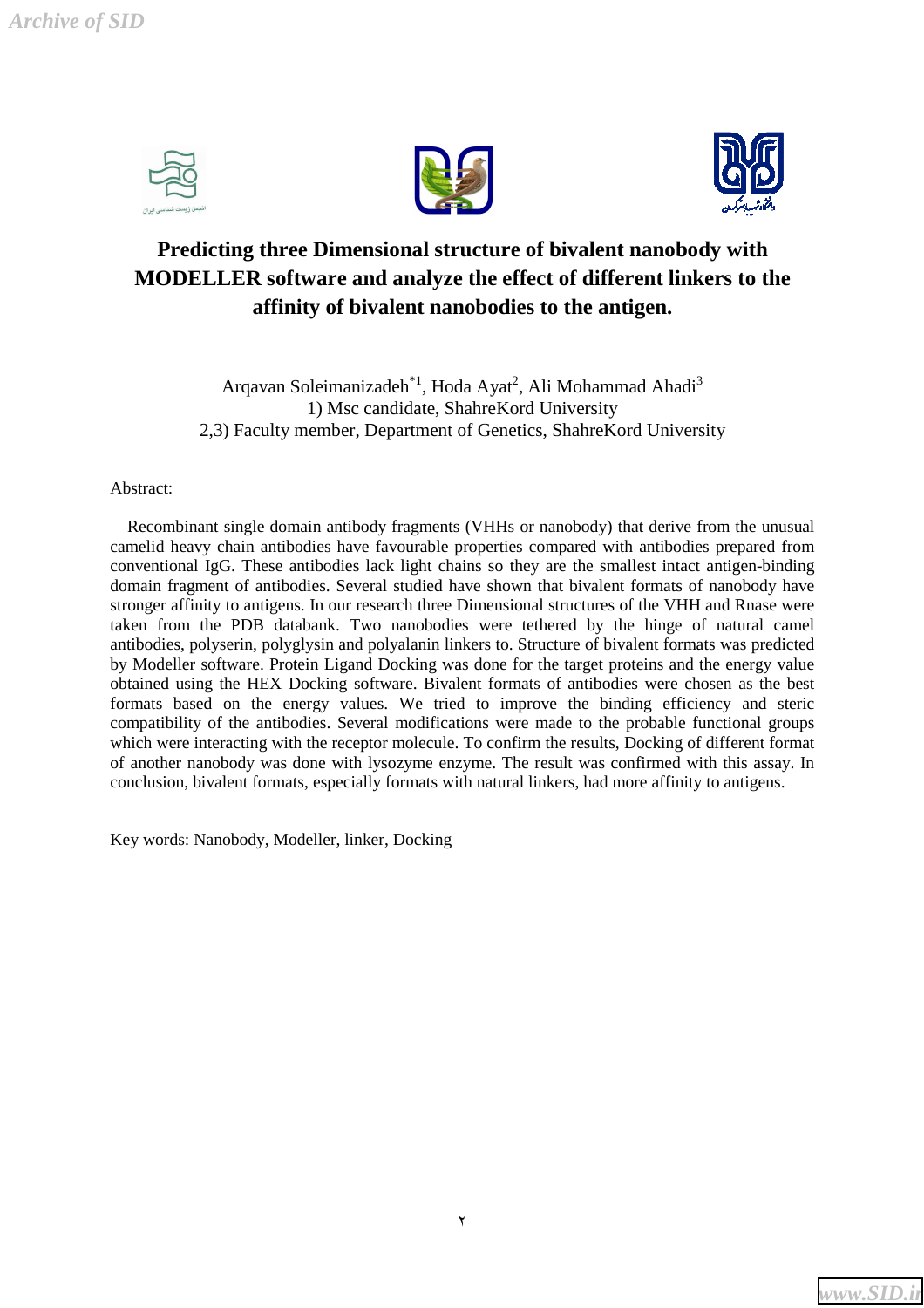*Archive of SID*







#### **Predicting three Dimensional structure of bivalent nanobody with MODELLER software and analyze the effect of different linkers to the affinity of bivalent nanobodies to the antigen.**

Arqavan Soleimanizadeh $^{*1}$ , Hoda Ayat<sup>2</sup>, Ali Mohammad Ahadi<sup>3</sup> 1) Msc candidate, ShahreKord University 2,3) Faculty member, Department of Genetics, ShahreKord University

#### Abstract:

 Recombinant single domain antibody fragments (VHHs or nanobody) that derive from the unusual camelid heavy chain antibodies have favourable properties compared with antibodies prepared from conventional IgG. These antibodies lack light chains so they are the smallest intact antigen-binding domain fragment of antibodies. Several studied have shown that bivalent formats of nanobody have stronger affinity to antigens. In our research three Dimensional structures of the VHH and Rnase were taken from the PDB databank. Two nanobodies were tethered by the hinge of natural camel antibodies, polyserin, polyglysin and polyalanin linkers to. Structure of bivalent formats was predicted by Modeller software. Protein Ligand Docking was done for the target proteins and the energy value obtained using the HEX Docking software. Bivalent formats of antibodies were chosen as the best formats based on the energy values. We tried to improve the binding efficiency and steric compatibility of the antibodies. Several modifications were made to the probable functional groups which were interacting with the receptor molecule. To confirm the results, Docking of different format of another nanobody was done with lysozyme enzyme. The result was confirmed with this assay. In conclusion, bivalent formats, especially formats with natural linkers, had more affinity to antigens.

Key words: Nanobody, Modeller, linker, Docking